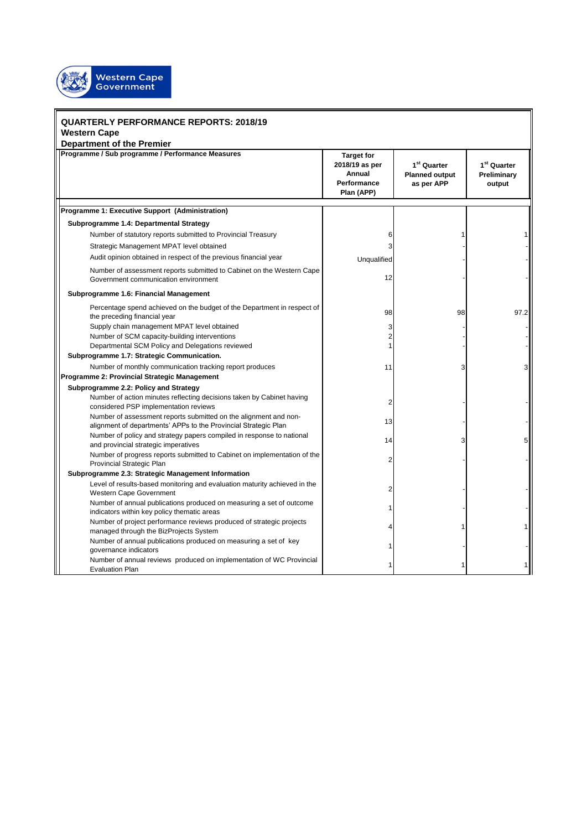

## **QUARTERLY PERFORMANCE REPORTS: 2018/19 Western Cape**

**Department of the Premier**

| Department or the Fremier<br>Programme / Sub programme / Performance Measures                                                       | <b>Target for</b><br>2018/19 as per<br>Annual<br><b>Performance</b><br>Plan (APP) | 1 <sup>st</sup> Quarter<br><b>Planned output</b><br>as per APP | 1 <sup>st</sup> Quarter<br>Preliminary<br>output |
|-------------------------------------------------------------------------------------------------------------------------------------|-----------------------------------------------------------------------------------|----------------------------------------------------------------|--------------------------------------------------|
| Programme 1: Executive Support (Administration)                                                                                     |                                                                                   |                                                                |                                                  |
| Subprogramme 1.4: Departmental Strategy                                                                                             |                                                                                   |                                                                |                                                  |
| Number of statutory reports submitted to Provincial Treasury                                                                        | 6                                                                                 |                                                                |                                                  |
| Strategic Management MPAT level obtained                                                                                            | 3                                                                                 |                                                                |                                                  |
| Audit opinion obtained in respect of the previous financial year                                                                    | Unqualified                                                                       |                                                                |                                                  |
| Number of assessment reports submitted to Cabinet on the Western Cape<br>Government communication environment                       | 12                                                                                |                                                                |                                                  |
| Subprogramme 1.6: Financial Management                                                                                              |                                                                                   |                                                                |                                                  |
| Percentage spend achieved on the budget of the Department in respect of<br>the preceding financial year                             | 98                                                                                | 98                                                             | 97.2                                             |
| Supply chain management MPAT level obtained                                                                                         | 3                                                                                 |                                                                |                                                  |
| Number of SCM capacity-building interventions                                                                                       | $\overline{2}$                                                                    |                                                                |                                                  |
| Departmental SCM Policy and Delegations reviewed<br>Subprogramme 1.7: Strategic Communication.                                      |                                                                                   |                                                                |                                                  |
| Number of monthly communication tracking report produces<br>Programme 2: Provincial Strategic Management                            | 11                                                                                |                                                                |                                                  |
| Subprogramme 2.2: Policy and Strategy                                                                                               |                                                                                   |                                                                |                                                  |
| Number of action minutes reflecting decisions taken by Cabinet having<br>considered PSP implementation reviews                      | $\overline{2}$                                                                    |                                                                |                                                  |
| Number of assessment reports submitted on the alignment and non-<br>alignment of departments' APPs to the Provincial Strategic Plan | 13                                                                                |                                                                |                                                  |
| Number of policy and strategy papers compiled in response to national<br>and provincial strategic imperatives                       | 14                                                                                |                                                                |                                                  |
| Number of progress reports submitted to Cabinet on implementation of the<br>Provincial Strategic Plan                               | $\overline{2}$                                                                    |                                                                |                                                  |
| Subprogramme 2.3: Strategic Management Information                                                                                  |                                                                                   |                                                                |                                                  |
| Level of results-based monitoring and evaluation maturity achieved in the<br>Western Cape Government                                | $\overline{2}$                                                                    |                                                                |                                                  |
| Number of annual publications produced on measuring a set of outcome<br>indicators within key policy thematic areas                 |                                                                                   |                                                                |                                                  |
| Number of project performance reviews produced of strategic projects<br>managed through the BizProjects System                      |                                                                                   |                                                                |                                                  |
| Number of annual publications produced on measuring a set of key<br>governance indicators                                           |                                                                                   |                                                                |                                                  |
| Number of annual reviews produced on implementation of WC Provincial<br><b>Evaluation Plan</b>                                      |                                                                                   |                                                                |                                                  |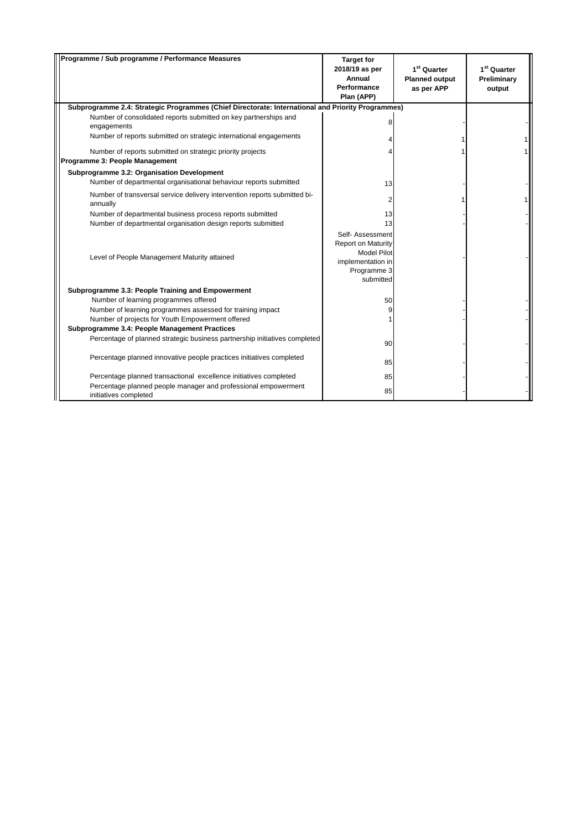| Programme / Sub programme / Performance Measures                                                                          | <b>Target for</b><br>2018/19 as per<br>Annual<br><b>Performance</b><br>Plan (APP)                                    | $1st$ Quarter<br><b>Planned output</b><br>as per APP | 1 <sup>st</sup> Quarter<br>Preliminary<br>output |
|---------------------------------------------------------------------------------------------------------------------------|----------------------------------------------------------------------------------------------------------------------|------------------------------------------------------|--------------------------------------------------|
| Subprogramme 2.4: Strategic Programmes (Chief Directorate: International and Priority Programmes)                         |                                                                                                                      |                                                      |                                                  |
| Number of consolidated reports submitted on key partnerships and<br>engagements                                           |                                                                                                                      |                                                      |                                                  |
| Number of reports submitted on strategic international engagements                                                        |                                                                                                                      |                                                      |                                                  |
| Number of reports submitted on strategic priority projects<br>Programme 3: People Management                              |                                                                                                                      |                                                      |                                                  |
| Subprogramme 3.2: Organisation Development                                                                                |                                                                                                                      |                                                      |                                                  |
| Number of departmental organisational behaviour reports submitted                                                         | 13                                                                                                                   |                                                      |                                                  |
| Number of transversal service delivery intervention reports submitted bi-<br>annually                                     | $\overline{2}$                                                                                                       |                                                      |                                                  |
| Number of departmental business process reports submitted<br>Number of departmental organisation design reports submitted | 13<br>13                                                                                                             |                                                      |                                                  |
| Level of People Management Maturity attained                                                                              | Self- Assessment<br><b>Report on Maturity</b><br><b>Model Pilot</b><br>implementation in<br>Programme 3<br>submitted |                                                      |                                                  |
| Subprogramme 3.3: People Training and Empowerment                                                                         |                                                                                                                      |                                                      |                                                  |
| Number of learning programmes offered                                                                                     | 50                                                                                                                   |                                                      |                                                  |
| Number of learning programmes assessed for training impact                                                                |                                                                                                                      |                                                      |                                                  |
| Number of projects for Youth Empowerment offered                                                                          |                                                                                                                      |                                                      |                                                  |
| Subprogramme 3.4: People Management Practices                                                                             |                                                                                                                      |                                                      |                                                  |
| Percentage of planned strategic business partnership initiatives completed                                                | 90                                                                                                                   |                                                      |                                                  |
| Percentage planned innovative people practices initiatives completed                                                      | 85                                                                                                                   |                                                      |                                                  |
| Percentage planned transactional excellence initiatives completed                                                         | 85                                                                                                                   |                                                      |                                                  |
| Percentage planned people manager and professional empowerment<br>initiatives completed                                   | 85                                                                                                                   |                                                      |                                                  |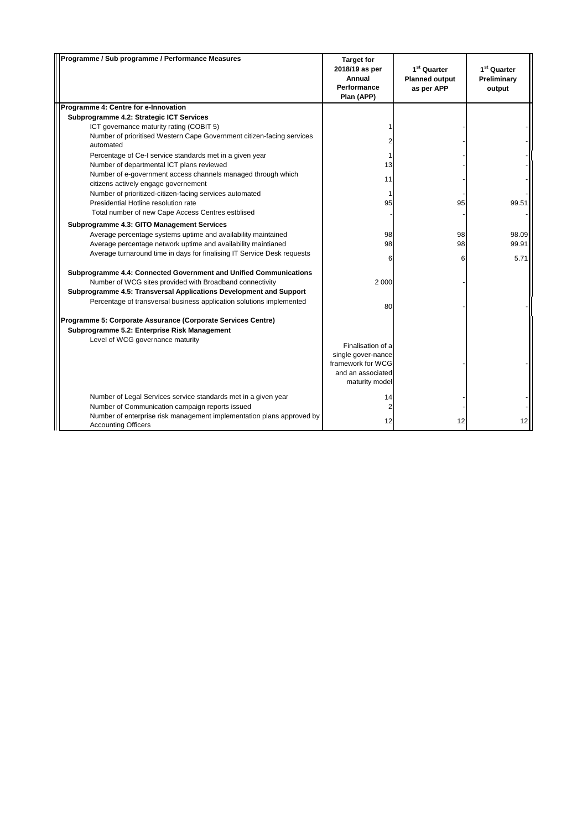| Programme / Sub programme / Performance Measures                                                     | <b>Target for</b><br>2018/19 as per<br>Annual<br>Performance<br>Plan (APP) | 1 <sup>st</sup> Quarter<br><b>Planned output</b><br>as per APP | 1 <sup>st</sup> Quarter<br>Preliminary<br>output |
|------------------------------------------------------------------------------------------------------|----------------------------------------------------------------------------|----------------------------------------------------------------|--------------------------------------------------|
| Programme 4: Centre for e-Innovation                                                                 |                                                                            |                                                                |                                                  |
| Subprogramme 4.2: Strategic ICT Services                                                             |                                                                            |                                                                |                                                  |
| ICT governance maturity rating (COBIT 5)                                                             |                                                                            |                                                                |                                                  |
| Number of prioritised Western Cape Government citizen-facing services<br>automated                   |                                                                            |                                                                |                                                  |
| Percentage of Ce-I service standards met in a given year                                             |                                                                            |                                                                |                                                  |
| Number of departmental ICT plans reviewed                                                            | 13                                                                         |                                                                |                                                  |
| Number of e-government access channels managed through which<br>citizens actively engage governement | 11                                                                         |                                                                |                                                  |
| Number of prioritized-citizen-facing services automated                                              |                                                                            |                                                                |                                                  |
| Presidential Hotline resolution rate                                                                 | 95                                                                         | 95                                                             | 99.51                                            |
| Total number of new Cape Access Centres estblised                                                    |                                                                            |                                                                |                                                  |
| Subprogramme 4.3: GITO Management Services                                                           |                                                                            |                                                                |                                                  |
| Average percentage systems uptime and availability maintained                                        | 98                                                                         | 98                                                             | 98.09                                            |
| Average percentage network uptime and availability maintianed                                        | 98                                                                         | 98                                                             | 99.91                                            |
| Average turnaround time in days for finalising IT Service Desk requests                              | 6                                                                          | 6                                                              | 5.71                                             |
| Subprogramme 4.4: Connected Government and Unified Communications                                    |                                                                            |                                                                |                                                  |
| Number of WCG sites provided with Broadband connectivity                                             | 2 0 0 0                                                                    |                                                                |                                                  |
| Subprogramme 4.5: Transversal Applications Development and Support                                   |                                                                            |                                                                |                                                  |
| Percentage of transversal business application solutions implemented                                 | 80                                                                         |                                                                |                                                  |
| Programme 5: Corporate Assurance (Corporate Services Centre)                                         |                                                                            |                                                                |                                                  |
| Subprogramme 5.2: Enterprise Risk Management                                                         |                                                                            |                                                                |                                                  |
| Level of WCG governance maturity                                                                     |                                                                            |                                                                |                                                  |
|                                                                                                      | Finalisation of a                                                          |                                                                |                                                  |
|                                                                                                      | single gover-nance<br>framework for WCG                                    |                                                                |                                                  |
|                                                                                                      | and an associated                                                          |                                                                |                                                  |
|                                                                                                      | maturity model                                                             |                                                                |                                                  |
| Number of Legal Services service standards met in a given year                                       | 14                                                                         |                                                                |                                                  |
| Number of Communication campaign reports issued                                                      |                                                                            |                                                                |                                                  |
| Number of enterprise risk management implementation plans approved by<br><b>Accounting Officers</b>  | 12                                                                         | 12                                                             |                                                  |